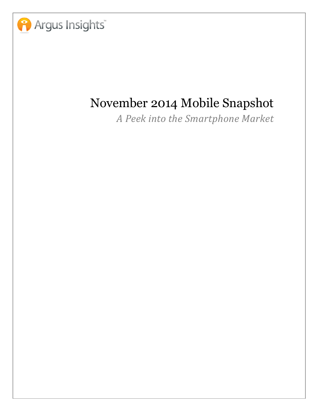

## November 2014 Mobile Snapshot

A Peek into the Smartphone Market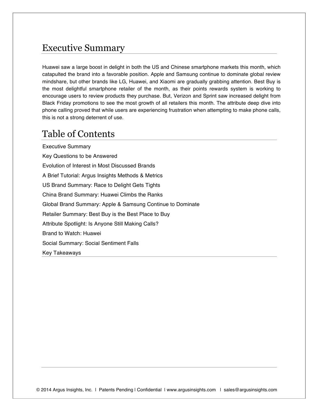## Executive Summary

Huawei saw a large boost in delight in both the US and Chinese smartphone markets this month, which catapulted the brand into a favorable position. Apple and Samsung continue to dominate global review mindshare, but other brands like LG, Huawei, and Xiaomi are gradually grabbing attention. Best Buy is the most delightful smartphone retailer of the month, as their points rewards system is working to encourage users to review products they purchase. But, Verizon and Sprint saw increased delight from Black Friday promotions to see the most growth of all retailers this month. The attribute deep dive into phone calling proved that while users are experiencing frustration when attempting to make phone calls, this is not a strong deterrent of use.

## Table of Contents

Executive Summary Key Questions to be Answered Evolution of Interest in Most Discussed Brands A Brief Tutorial: Argus Insights Methods & Metrics US Brand Summary: Race to Delight Gets Tights China Brand Summary: Huawei Climbs the Ranks Global Brand Summary: Apple & Samsung Continue to Dominate Retailer Summary: Best Buy is the Best Place to Buy Attribute Spotlight: Is Anyone Still Making Calls? Brand to Watch: Huawei Social Summary: Social Sentiment Falls Key Takeaways